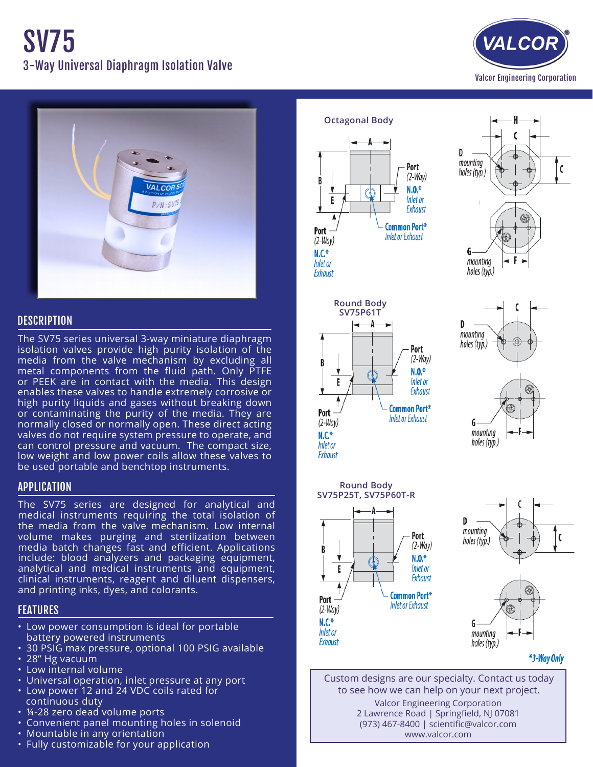



# **DESCRIPTION**

The SV75 series universal 3-way miniature diaphragm isolation valves provide high purity isolation of the media from the valve mechanism by excluding all metal components from the fluid path. Only PTFE or PEEK are in contact with the media. This design enables these valves to handle extremely corrosive or high purity liquids and gases without breaking down or contaminating the purity of the media. They are normally closed or normally open. These direct acting valves do not require system pressure to operate, and can control pressure and vacuum. The compact size, low weight and low power coils allow these valves to be used portable and benchtop instruments.

# APPLICATION

The SV75 series are designed for analytical and medical instruments requiring the total isolation of the media from the valve mechanism. Low internal volume makes purging and sterilization between media batch changes fast and efficient. Applications include: blood analyzers and packaging equipment, analytical and medical instruments and equipment, clinical instruments, reagent and diluent dispensers, and printing inks, dyes, and colorants.

# FEATURES

- Low power consumption is ideal for portable battery powered instruments
- 30 PSIG max pressure, optional 100 PSIG available
- 28" Hg vacuum
- • Low internal volume
- Universal operation, inlet pressure at any port
- Low power 12 and 24 VDC coils rated for
- continuous duty
- 14-28 zero dead volume ports
- • Convenient panel mounting holes in solenoid
- Mountable in any orientation
- Fully customizable for your application













\*3-Way Only

Custom designs are our specialty. Contact us today to see how we can help on your next project. Valcor Engineering Corporation 2 Lawrence Road | Springfield, NJ 07081 (973) 467-8400 | scientific@valcor.com www.valcor.com